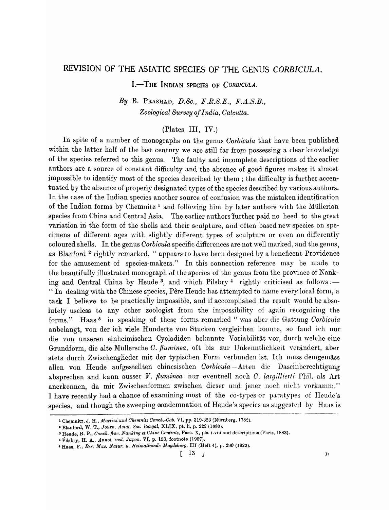# REVISION OF THE ASIATIC SPECIES OF THE GENUS *CORBICULA.*

I.<sup>-THE</sup> INDIAN SPECIES OF *CORBICULA*.

*By* B. PRASHAD, *D.Se., F.R.S.E., F.A.S.B., Zoological Survey of India, Oalcutta.* 

# (Plates III, IV.)

In spite of a number of monographs on the genus *Corbicula* that have been published within the latter half of the last century we are still far from possessing a clear knowledge of the species referred to this genus. The faulty and incomplete descriptions of the earlier authors are a source of constant difficulty and the absence of good figures makes it almost impossible to identify most of the species described by them; the difficulty is further accentuated by the absence of properly designated types of the species described by various authors. In the case of the Indian species another source of confusion was the mistaken identification of the Indian forms by Chemnitz<sup>1</sup> and following him by later authors with the Müllerian species from China and Central Asia. The earlier authors "further paid no heed to the great variation in the form of the shells and their sculpture, and often based new species on specimens of different ages with slightly different types of sculpture or even on differently coloured shells. In the genus *Corbicula* specific differences are not well marked, and the genus, as Blanford 2 rightly remarked, "appears to have been designed by a beneficent Proyidence for the amusement of species-makers." In this connection reference may be made to the beautifully illustrated monograph of the species of the genus from the province of Nanking and Central China by Heude<sup>3</sup>, and which Pilsbry<sup>4</sup> rightly criticised as follows:-" In dealing with the Chinese species, Père Heude has attempted to name every local form, a task I believe to be practically impossible, and if accomplished the result would be absolutely useless to any other zoologist from the impossibility of again recognizing the forms." Haas<sup>5</sup> in speaking of these forms remarked " was aber die Gattung *Corbicula* anbelangt, von der ich viele Hunderte von Stucken vergleichen konnte, so fand ich nur die von unseren einheimischen Cycladiden bekannte Variabilitat Yor, durch welche eine Grundform, die alte Müllersche *C. fluminea*, oft bis zur Unkenntlichkeit verändert, aber stets durch Zwischenglieder mit der typischen Form verbunden ist. Ich muss demgemäss allen von Reude aufgestellten chinesischen *Corbicula* - Arten die Daseinbereehtigung absprechen and kann ausser *V. fluminea* nur eventuell noch *C. largillierti* Phil. als Art anerkennen, da mir Zwischenformen zwischen dieser und jener noch nicht vorkamm." I have recently had a chance of examining most of the co-types or paratypes of Heude's species, and though the sweeping condemnation of Heude's species as suggested by Haas is

<sup>&</sup>lt;sup>1</sup> Chemnitz, J. H., *Martini und Chemnitz Conch.-Cab. VI*, pp. 319-323 (Nürnberg, 1782).

<sup>2</sup> Blanford, W. T., *Journ. Asiat. Soc. Bengal,* XLIX, pt. ii, p. 222 (1880).

<sup>&</sup>lt;sup>3</sup> Heude, R. P., *Conch. flur. Nanking et Chine Centrale*, Fasc. X, pls. i-viii and descriptions (Paris, 1883).

<sup>4</sup> Pilsbry, H. A., *Annot. zool. Japon.* VI, p. 153, footnote (1907).

<sup>&</sup>lt;sup>6</sup> HAas, F., *Ber. Mus. Natur. u. Heimatkunde Magdeburg*, III (Heft 4), p. 290 (1922).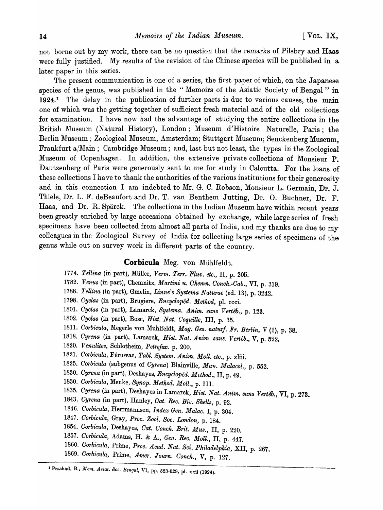not borne out by my work, there can be no question that the remarks of Pilsbry and Haas were fully justified. My results of the revision of the Chinese species will be published in a. later paper in this series.

The present communication is one of a series, the first paper of which, on the Japanese species of the genus, was published in the "Memoirs of the Asiatic Society of Bengal" in 1924.1 The delay in the publication of further parts is due to various causes, the main one of which was the getting together of sufficient fresh material and of the old collections for examination. I have now had the advantage of studying the entire collections in the British Museum (Natural History), London; Museum d'Histoire Naturelle, Paris; the Berlin Museum; Zoological Museum, Amsterdam; Stuttgart Museum; Senckenberg Museum. Frankfurt a/Main; Cambridge Museum; and, last but not least, the types in the Zoological Museum of Oopenhagen. In addition, the extensive private collections of Monsieur P. Dautzenberg of Paris were generously sent to me for study in Oalcutta. For the loans of these collections I have to thank the authorities of the various institutions for their generosity and in this connection I am indebted to Mr. G. C. Robson, Monsieur L. Germain, Dr. J. Thiele, Dr. L. F. deBeaufort and Dr. T. van Benthem Jutting, Dr. O. Buchner, Dr. F. Haas, and Dr. R. Spärck. The collections in the Indian Museum have within recent years been greatly enriched by large accessions obtained by exchange, while large series of fresh specimens have been collected from almost all parts of India, and my thanks are due to my colleagues in the Zoological Survey of India for collecting large series of specimens of the genus while out on survey work in different parts of the country.

## **Corbicula** Meg. von Miihlfeldt.

- *1774. Tellina* (in part), Miiller, *Yermo Terr. Fluv. etc.,* II, p. 205.
- *1782. Venus* (in part), Chemnitz, *Martini u. Ohemn. Oonch.-Oab.,* VI, p. 319.
- *1788. Tellina* (in part), Gmelin, *Linne's Systema Naturae* (ed. 13), p. 3242.
- *1798. Oyclas* (in part), Brugiere, *Encycloped. Method,* pl. ccci.
- *1801. Oyclas* (in part), Lamarck, *Systema. Anim. sans Verteb.,* p. 123.
- *1802. Oyclas* (in part), Bosc, *Bist. Nat. Coquille,* III, p. 35.
- *1811. Oorbicula,* Megerle von Muhlfeldt, *Mag. Ges. naturf. Fr. Berlin,* V (I), p. 38.
- *1818. Oyrena* (in part), Lamarck, *Bist. Nat. Anim. sans. Verteb.,* V, p. 522.
- 1820. *Ven1.tlites,* Schlotheim, *Petrefac.* p. 200.
- 1821. Corbicula, Férussac, *Tabl. System. Anim. Moll. etc.*, p. xliii.
- *1825. Oorbicula* (subgenus of *Oyrena)* Blainville, *Man. Malacol.,* p. 552.
- *1830. Cyrena* (in part), Deshayes, *Encycloped. Method.,* II, p. 49.
- *1830. Oorbicula,* Menke, *Synop. Method. Moll.,* p. Ill.
- *1835. Oyrena* (in part), Deshayes in Lamarck, *Bist. Nat. Anim. sans Verteb.,* VI, p. 273.
- *1843. Cyrena* (in part), Hanley, *Oat. Rec. Biv. Shells,* p. 92.
- *1846. Corbicula,* Herrmannsen, *Index Gen. Malac.* I, p. 304.
- *1847. Oorbicula,* Gray, *Proc. Zool. Soc. London,* p. 184.
- *1854. Oorbicula,* Deshayes, *Oat. Oonch. Brit. Mus.,* II, p. 220.
- *1857. Oorbicula,* Adams, H. & A., *Gen. Rec. Moll.,* II, p. 447.
- *1860. Oorbicula,* Prime, *Proc. Acad. Nat. Sci. Philadelphia,* XII, p. 267.
- *1869. Oorbicula,* Prime, *Amer. Journ. Oonch.,* V, p. 127.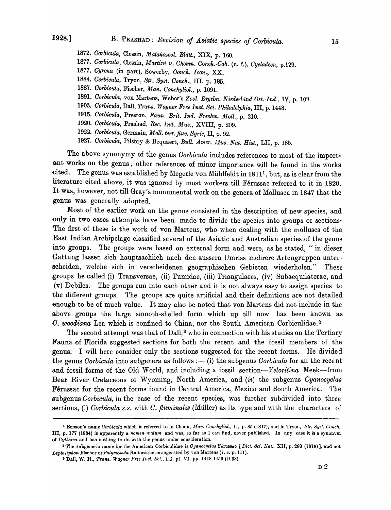- *1872. Oorbicula,* Clessin, *Malakozool. Bliitt.,* XIX, p. 160.
- *1877. Oorbicula,* Clessin, *Martini u. Ohemn. Oonch.-Oab.* (n. f.), *Oycladeen,* p.129.
- *1877. Oyrena* (in part), Sowerby, *Oonch. Icon.,* XX.
- *1884. Oorbicula,* Tryon, *Btr. Byst. Oonch.,* III, p. 185.
- *1887. Oorbicula,* Fischer, *Man. Oonchyliol.,* p. 1091.
- 1891. *Oorbicula,* von Martens, Weber's *Zool. Ergebn. Niederliind Ost.-Ind.,* IV, p. 10'3.
- *1903. Oorbicula,* Dall, *Trans. Wagner Free Inst. Sci. Philadelphia,* III, p. 1448.
- *1915. Oorbicula,* Preston, *Faun. Brit. Ind. Freshw. Moll.,* p. 210.
- *1920. Oorbicula,* Prashad, *Rec. Ind. Mus.,* XVIII, p. 209.
- *1922. 9orbicula,* Germain, *Moll. terr.fluv. Syrie,* II, p. 92.
- *1927. Oorbicula,* Pilsbry & Bequaert, *Bull. Amer. Mus. Nat. Hist.,* LII, p. 185.

The above synonymy of the genus *Corbicula* includes references to most of the important works on the genus; other references of minor importance will be found in the works eited. The genus was established by Megerle von Muhlfeldt in 18111, but, as is clear from the literature cited above, it was ignored by most workers till Férussac referred to it in 1820. It was, however, not till Gray's monumental work on the genera of Mollusca in 1847 that the genus was generally adopted.

Most of the earlier work on the genus consisted in the description of new species, and only in two cases attempts have been made to divide the species into groups or sections. 'The first of these is the work of von Martens, who when dealing with the molluscs of the East Indian Archipelago classified several of the Asiatic and Australian species of the genus into groups. The groups were based on external form and were, as he stated, "in dieser Gattung lassen sich hauptsachlich nach den aussern Umriss mehrere Artengruppen unterscheiden, welche sich in verscheidenen geographischen Gebieten wiederholen." These groups he called (i) Transversae, (ii) Tumidae, (iii) Triangulares, (iv) Subaequilaterae, and (v) Debiles. The groups run into each other and it is not always easy to assign species to the different groups. The groups are quite artificial and their definitions are not detailed enough to be of much value. It may also be noted that von Martens did not include in the above groups the large smooth-shelled form which up till now has been known as O. *woodiana* Lea which is confined to China, nor the South American Corbiculidae. <sup>2</sup>

The second attempt was that of Dall,<sup>3</sup> who in connection with his studies on the Tertiary Fauna of Florida suggested sections for both the recent and the fossil members of the genus. I will here consider only the sections suggested for the recent forms. He divided the genus *Corbicula* into subgenera as follows :— (i) the subgenus *Corbicula* for all the recent and fossil forms of the Old World, and including a fossil section-Veloritina Meek-from Bear River Cretaceous of Wyoming, North America, and (ii) the subgenus *Cyanocyclas*  Férussac for the recent forms found in Central America, Mexico and South America. The .subgenus *Corbicula,* in the case of the recent species, was further subdivided into three sections, (i) *Corbicula s.s.* with C. *fluminalis* (Müller) as its type and with the characters of

<sup>&</sup>lt;sup>1</sup> Benson's name *Corbicula* which is referred to in Chenu, *Man. Conchyliol.*, II, p. 85 (1847), and in Tryon, *Str. Syst. Conch.* III, p. 177 (1884) is apparently a *nomen nudum* and was, so far as I can find, never published. In any case it is a synonvm <>f *Cytherea* and has nothing to do with the genus under consideration.

<sup>&</sup>lt;sup>2</sup> The subgeneric name for the American Corbiculidae is Cyanocyclas Férussuo [Dict. Sci. Nat., XII, p. 280 (1818)], and not Leptosiphon Fischer or *Polymesoda* Ratinesque as suggested by von Martens (1. c. p. 111).

<sup>8</sup> Dall, W. H., *Trans. Wagner Free 1nst. Sci.,* III, pt. VI, pp. 1448·1450 (1903).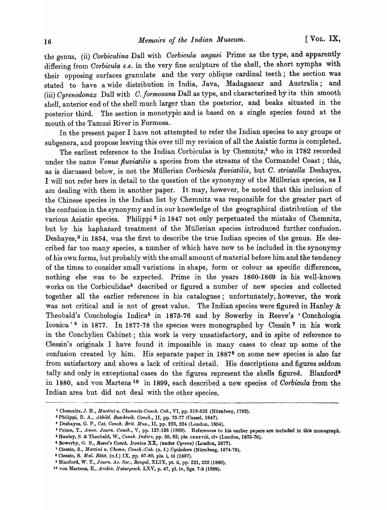the genus, (ii) *Oorbiculina* DaIl with *Oorbicula angasi* Prime as the type, and apparently differing from *Corbicula s.s.* in the very fine sculpture of the shell, the short nymphs with their opposing surfaces granulate and the very oblique cardinal teeth; the section was stated to have a wide distribution in India, Java, Madagascar and Australia; and (iii) *Oyrenodonax* Dall with *O.formosana* Dall as type, and characterized by its thin smooth shell, anterior end of the shell much larger than the posterior, and beaks situated in the posterior third. The section is monotypic and is based on a single species found at the mouth of the Tamusi River in Formosa.

In the present paper I have not attempted to refer the Indian species to any groups or subgenera, and propose leaving this over till my revision of all the Asiatic forms is completed.

The earliest reference to the Indian Corbiculas is by Chemnitz,<sup>1</sup> who in 1782 recorded under the name *Venus fluviatilis* a species from the streams of the Cormandel Coast; this, as is discussed below, is not the Mullerian *Corbicula fluviatilis,* but *C. striatella* Deshayes. I will not refer here in detail to the question of the synonymy of the Mullerian species, as I am dealing with them in another paper. It may, however, be noted that this inclusion of the Chinese species in the Indian list by Chemnitz was responsible for the greater part of the confusion in the synonymy and in our knowledge of the geographical distribution of the various Asiatic species. Philippi 2 in 1847 not only perpetuated the mistake of Chemnitz, but by his haphazard treatment of the Mullerian species introduced further confusion. Deshayes,<sup>3</sup> in 1854, was the first to describe the true Indian species of the genus. He described far too many species, a number of which have now to be included in the synonymy of his· own forms, but probably with the small amount of material before him and the tendency of the times to consider small variations in shape, form or colour as specific differences, nothing else was to be expected. Prime in the years 1860-1869 in his well-known works on the Corbiculidae4 described or figured a number of new species and collected together all the earlier references in his catalogues; unfortunately, however, the work was not critical and is not of great value. The Indian species were figured in Hanley & Theobald's Conchologia Indica<sup>5</sup> in 1875-76 and by Sowerby in Reeve's 'Conchologia Iconica'<sup>6</sup> in 1877. In 1877-78 the species were monographed by Clessin<sup>7</sup> in his work in the Conchylien Cabinet; this work is very unsatisfactory, and in spite of reference to Clessin's originals I have found it impossible in many cases to clear up some of the confusion created by him. His separate paper in 18878 on some new species is also far from satisfactory and shows a lack of critical detail. His descriptions and figures seldom tally and only in exceptional cases do the figures represent the shells figured. Blanford<sup>9</sup> in 1880, and von Martens 10 in 1899, each described a new species of *Corbicula* from the Indian area but did not deai with the other species.

<sup>1</sup> Chemnitz, J. H., *Martini u. Ohemnitz-Oonck. Oab.,* VI, pp. 319·323 (Niimberg,1782).

<sup>&</sup>lt;sup>2</sup> Philippi, R. A., *Abbild. Beschreib. Conch.*, II, pp. 75-77 (Cassel, 1847).

<sup>3</sup> Deshayes, G. P., *Oat. Oonch. Brit. MU8.,* II, pp. 223, 224 (London, 1854).

<sup>•</sup> Prime, T., *Amer. Journ. Oonclt.,* V, pp. 127-138 (1869). References to his earlier papers are included in this monograph.

<sup>6</sup> Hanley, s. & Theol;ald, 'V., *Oonch. Indic7,* pp. 55, 62, pls. exxxviii, elv (London, 1875-76).

<sup>•</sup> Sowerby, G. B., *Reeve'8 Oonch. lconica* XX, (under *Oyrena)* (London, 1877).

<sup>&</sup>lt;sup>7</sup> Clessin, S., *Martini u. Chemn. Conch.-Cab.* (n. f.) *Cycladeen* (Nürnberg, 1874-79).

<sup>8</sup> Clessin, S. *Mal. Blätt.* (n.f.) IX, pp. 67-80, pls. i, iii (1887).

<sup>&</sup>lt;sup>9</sup> Blanford, W. T., *Journ. As. Soc., Bengal*, XLIX, pt. ii, pp. 221, 222 (1880).

<sup>&</sup>lt;sup>10</sup> von Martens, E., *Archiv. Naturyesch.* LXV, p. 47, pl. iv, figs. 7-9 (1899).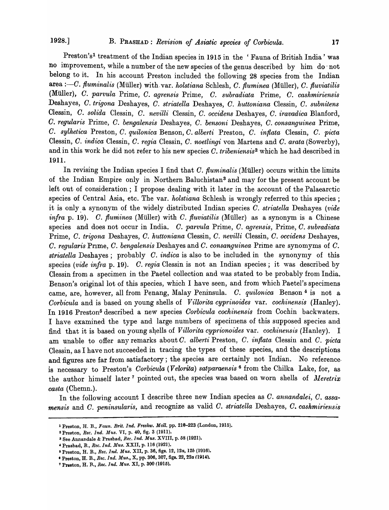Preston's<sup>1</sup> treatment of the Indian species in 1915 in the 'Fauna of British India' was no improvement, while a number of the new species of the genus described by him do' not belong to it. In his account Preston included the following 28 species from' the Indian area :-- C. *fluminalis* (Müller) with var. *holstiana* Schlesh, C. *fluminea* (Müller), C. *fluviatilis* (Milller), O. *parvula* Prime, O. *agrensis* Prime, O. *subradiata* Prime, O. *cashmiriensis*  Deshayes, O. *trigona* Deshayes, O. *striatella* Deshayes, O. *huttoniana* Clessin, O. *subnitens*  Clessin, O. *solida* Clessin, O. *nevilli* Clessin, O. *occidens* Deshayes, O. *iravadica* Blanford, *O. regularis* Prime, O. *bengalensis* Deshayes, O. *bensoni* Deshayes, O. *consanguinea* Prime, *O. sylhetica* Preston, *C. quilonica* Benson, *O. alberti* Preston, *C. inflata* Clessin, *C. pieta*  Clessin, *C. indica* Clessin, *C. regia* Clessin, *C. noetlingi* von Martens and *C. arata* (Sowerby), and in this work he did not refer to his new species O. *tribeniensis*2 which he had described in 1911.

In revising the Indian species I find that C. *fluminalis* (Müller) occurs within the limits of the Indian Empire only in Northern Baluchistan3 and may for the present account be left out of consideration; I propose dealing with it later in the account of the Palaearctic species of Central Asia, etc. The var. *holstiana* Schlesh is wrongly referred to this species; it is only \_ a synonym of the widely distributed Indian species O. *striatella* Deshayes *(vide infra* p. 19). C. *fluminea* (Müller) with C. *fluviatilis* (Müller) as a synonym is a Chinese species and does not occur in India. O. *parvula* Prime, O. *agrens'is,* Prime, O. *sub'radiata*  Prime, O. *trigona* Deshayes, O. *huttoniana* Clessin, *C. nevilli* Clessin, *C. occidens* Deshayes, *O. regularis* PIlme, *C. bengalensis* Deshayes and *C. consanguinea* Prime are synomyms of *C. striatella* Deshayes; probably *C. indica* is also to be included in the synonymy of this species *(vide infra p. 19). C. regia* Clessin is not an Indian species; it was described by Clessin from a specimen in the Paetel collection and was stated to be probably from India. Benson's original lot of this species, which I have seen, and from which Paetel's specimens came, are, however, all from Penang, Malay Peninsula. *C. quilonica* Benson 4 is not a *Corbicula* and is based on young shells of *Villorita cyprinoides* var. *cochinensis* (Hanley). In 1916 Preston5 described a new species *Oorbicula cochinens'is* from Cochin backwaters. I have examined the type and large numbers of specimens of this supposed species and find that it is based on young shells of *Villorita cyprionoides* var. *cochinensis* (Hanley). I am unable to offer any remarks about O. *alberti* Preston, O. *inflata* Clessin and *C. picta*  Clessin, as I have not succeeded in tracing the types of these species, and the descriptions and figures are far from satisfactory; the species are certainly not Indian. No reference. is necessary to Preston's *Corbicula* (Velorita) satparaensis<sup>6</sup> from the Chilka Lake, for, as the author himself later<sup>7</sup> pointed out, the species was based on worn shells of *Meretrix casta* (Chemn.).

In the following account I describe three new Indian species as *C. annandalei, C. assamensis and C. peninsularis, and recognize as valid C. striatella Deshayes, C. cashmiriensis* 

<sup>1</sup>Preston, H. R, *Faun. Brit. Ind. Fre8hw. Moll.* pp. 210-223 (London, 1915).

<sup>2</sup>Preston, *Ree. Ind. Mus.* VI, p. 40, fig. 3 (1911).

<sup>3</sup> See Annandale & Prashad, *Rec.Ind. Mus.* XVIII, p. 58 (1921).

<sup>«</sup>Prashad, R, *Ree.Ind. MU8.* XXII, p. 116 (1921).

Ii Preston, H. B., *Ree. Ind. Mus.* XII, p. 36, figs. 12, *12a, 12b (1916) •* 

<sup>•</sup> Preston, H. R, *Bee. Ind. Mus.,* X, pp. 306, 307, figs. 22, *22a (1914-).* 

<sup>7</sup> Preston, H. B., *Rec. Ind. Mus.* XI, p. 300 (1915).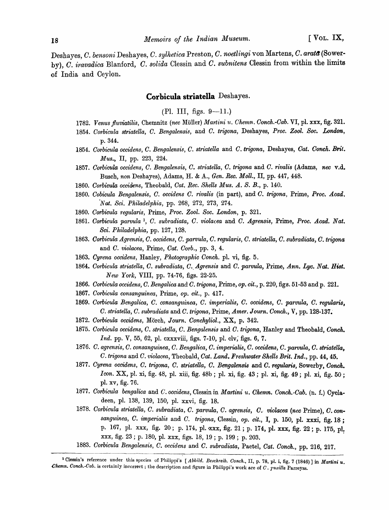Deshayes, *C. bensoni* Deshayes, *C. sylhetica* Preston, *O. noetlingi* von Martens, *O. arat6(Sower*by), *O. iravadica* Blanford, *O. solida* Clessin and *O. subnitens* Clessin fronl within the limits of India and Ceylon.

# **Corbicula striatella** Deshayes.

 $(Pl. III.$  figs.  $9-11.$ )

- 1782. Venus fluviatilis, Chemnitz (nec Müller) *Martini u. Chemn. Conch.-Cab. VI*, pl. xxx, fig. 321.
- 1854. Corbicula striatella, C. Bengalensis, and C. trigona, Deshayes, Proc. Zool. Soc. London, p.344.
- *1854. Oorbicula occidens, C. Bengalensis, C. striatella* and *O. trigona,* Deshayes, *Cat. Conch. Brit. Mus.*, II, pp. 223, 224.
- *1857. Oorbicula occidens, O. Bengalensis, C. striatella, C. trigona* and *C. rivalis* (Adams, *nee* v.d. Busch, *non* Deshayes), Adams, H. & A., *Gen. Ree. Moll.,* II, pp. 447, 448.
- 1860. Corbicula occidens, Theobald, *Cat. Rec. Shells Mus. A. S. B.*, p. 140.
- *1860. Oobicula Bengalensis, O. occidens O. rivalis* (in part), and *O. trigona,* Prime, *Proc. Acad.*  'N *at. Sci. Philadelphia,* pp. 268, 272, 273, 274.
- *1860. Oorbicula 'I'egularis,* Prime, *Proc. Zool. Soc. London,* p. 321.
- 186l. *Oorbicula parvula* 1, O. *subradiata, O. violacea* and *O. Agrensis,* Prime, *Proc. A* cad. *Nat.*  Sci. *Philadelphia,* pp. 127, 128.
- *1863. Oorbicula Ag1'ensis, O. occidens,* O. *parvula, O. regula1'is, O. striatella, O. subradiata,* O. *t'J'igona*  and *O. violacea,* Prime, *Oat. Oorb.,* pp. 3, 4.
- *1863. Cyrena occidens,* Hanley, *Photographic Oonch,* pI. vi, fig. 5.
- 1864. Corbicula striatella, C. subradiata, C. Agrensis and C. parvula, Prime, Ann. Lyc. Nat. Hist. *New York,* VIII, pp. 74-76, figs. 22-25.
- *1866. Oorbicula occidens, O. Bengalica* and *O. trigona,* Prime, *Ope cit.,* p. 220, figs. 51-53 and p. 221.
- 1867. Corbicula consanguinea, Prime, op. cit., p. 417.
- *1869. Oorbicula Bengalica, O. consanguinea, O. imperialis, O. occidens, O. parvula, O. regularis, O. striatella, O. subradiata* and O. *trigona,* Prime, *Amer. Journ. Oonch.,* V, pp. 128-137.-
- *1872. Oorbicula occidens,* Morch, *J ourn. Oonchyliol.,* XX, p. 342.
- 1875. Corbicula occidens, C. striatella, C. *Bengalensis* and *C. trigona*, Hanley and Theobald, *Conch. Ind.* pp. V, 55, 62, pl. cxxxviii, figs. 7-10, pl. clv, figs. 6, 7.
- *1876. O. agrensis, O. consanguinea, O. Bengalica, O. imperialis,* C. *occidens, C. parvula, O. striatella,*  O. *trigona* and *O. violacea,* Theobald,\_ *Oat. Land. Fresltwater Shells Brit. Ind.,* pp. 44, 45.
- *1877. Oyrena occidens,* O. *trigona, O. striatella, O. Bengalensis* and *O. regularis,* Sowerby, *Conch. Icon.* XX, pl. xi, fig. 48, pl. xiii, fig. 48b; pl. xi, fig. 43; pl. xi, fig. 49; pl. xi, fig. 50; pI. xv, fig. 76.
- *1877. Oorbicula bengalica* and *C. occidens,* Clessin in *Martini u. Ohemn. Conch.-Oab.* (n. f.) Oyeladeen, pI. 138, 139, 150, pI. xxvi, fig. 18.
- *1878. Corbicula striatella,* O. *subradiata, C. parvula, O. agrensis, 0., violacea (nee* Prime), *O. con*sanguinea, C. imperialis and C. trigona, Clessin, op. cit., I, p. 150, pl. xxxi, fig. 18; p. 167, pl. xxx, fig. 20; p. 174, pl. xxx, fig. 21; p. 174, pl. xxx, fig. 22; p. 175, pl. xxx, fig. 23 ; p. 180, pl. *xxx,* figs. 18, 19 ; p. 199; p. 203. '
- *1883. Corbicula Bengalensis, C. occidens* and *O. subradiata,* Paetel, *Oat. Oonch.,* pp. 216, 217.

<sup>&</sup>lt;sup>1</sup> Clessin's reference under this species of Philippi's [Abbild. Beschreib. Conch., II, p. 78, pl. i, fig. 7 (1846)] in Martini u. *Ohemn. Conch. Cab.* is certainly incorrect; the description and figure in Philippi's work are of *C*. *pusilla Parreyss.*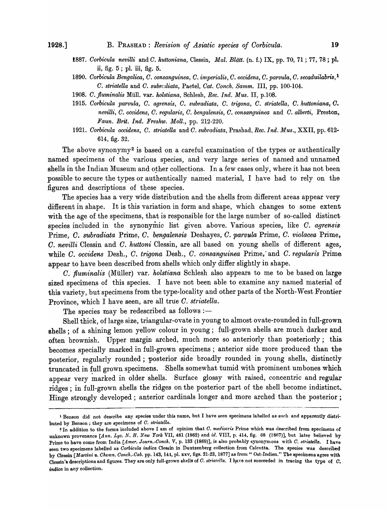- *1887. Oorbicula nevilli* and *O. huttoniana,* Clessin, *Mal. Blatt.* (n. f.) IX, pp. 70, 71 ; 77, 78; pI. ii, fig. 5 ; pI. iii, fig. 5.
- *1890. Oorbicula Bengalica, O. consanguinea, O. imperialis, O. occidens, O. parvula, O. secaduilabris,* l *O. striatella* and *O. subrcdiata,* Paetel, *Oat. Oonch. Samm.* III, pp. 100-104.
- 1908. C. fluminalis Müll. var. holstiana, Schlesh, *Rec. Ind. Mus. II*, p.108.
- *1915. Oorbicula parvula, O. agrensis, O. subradiata, O. trigona,* O. *striatella, O. huttoniana, O. nevilli,* O. *occidens, O. regularis, O. bengalensis,* O. *consanguinea* and *O. alberti,* Preston, *Faun. Brit. Ind. Freshw. Moll.,* pp. 212-220.
- 1921. *Corbicula occidens, C. striatella and C. subradiata, Prashad, Rec. Ind. Mus., XXII, pp. 612-*614, fig. 32.

The above synonymy<sup>2</sup> is based on a careful examination of the types or authentically named specimens of the various species, and very large series of named and unnamed shells in the Indian Museum and other collections. In a few cases only, where it has not been possible to secure the types or authentically named material, I have had to rely on the figures and descriptions of these species.

The species has a very wide distribution and the shells from different areas appear very different in shape. It is this variation in form and shape, which changes to some extent with the age of the specimens, that is responsible for the large number of so-called distinct species included in the synonymic list given above. Various species, like *C. agrensis* Prime, *O. subradiata* Prime, *O. bengalensis* Deshayes, *O. parvula* Prime, *O. violacea* Prime, *O. nevilli* Clessin and *O. huttoni* Clessin, are all based on young shells of different ages, while C. *occidens* Desh., *O. trigona* Desh., *O. consanguinea* Prime; and *O. regularis* Prime appear to have been described from shells which only differ slightly in shape.

*C. fluminalis* (Müller) var. *holstiana* Schlesh also appears to me to be based on large sized specimens of this species. I have not been able to examine any named material of this variety, but specimens from the type-locality and other parts of the North-West Frontier Province, which I have seen, are all true *O. striatella.* 

The species may be redescribed as follows :-

Shell thick, of large size, triangular-ovate in young to almost ovate-rounded in full-grown shells; of a shining lemon yellow colour in young; full-grown shells are much darker and often brownish. Upper margin arched, much more so anteriorly than posteriorly; this becomes specially marked in full-grown specimens; anterior side more produced than the posterior, regularly rounded; posterior side broadly rounded in young shells, distinctly truncated in full grown specimens. . Shells somewhat tumid with prominent umbones which appear very marked in older shells. Surface glossy with raised, concentric and regular ridges ; in full-grown shells the ridges on the posterior part of the shell become indistinct. Hinge strongly developed; anterior cardinals longer and more arched than the posterior;

<sup>&</sup>lt;sup>1</sup> Benson did not describe any species under this name, but I have seen specimens labelled as such and apparently distributed by Benson; they are specimens of *O. striatellu.* 

<sup>~</sup>In addition to the forms included above I am of opinion that *C. rnec1iocris* Prime which was described from specimens of unknown provenance [Ann. Lyc. N. H. New York VII, 481 (1862) and id. VIII, p. 414, fig. 68 (1867)], but later believed by Prime to have come from India *[Amer. Journ.-Conch.* V, p. 133 (1869)], is also probably synonymous with *C. siriatella.* I have seen two specimens labelled as *Corbicula indica* Clessin in Dautzenberg collection from Calcutta. The species was described by Clessin *[Martini u. Chemn. Conch.-Cab. pp. 143, 144, pl. xxv, figs. 21-23, 1877]* as from "Ost-Indien." The speoimens agree with Clessin's descriptions and figures. They are only full-grown shells of C. *striatella*. I have not succeeded in tracing the type of C. *indica* in any collection.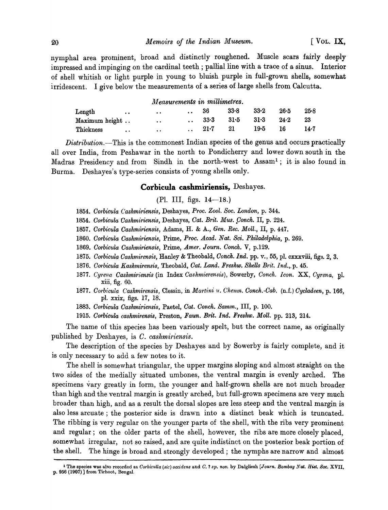nymphal area prominent, broad and distinctly roughened. Muscle scars fairly deeply impressed and impinging on the cardinal teeth; pallial line with a trace of a sinus. Interior of shell whitish or light purple in young to bluish purple in full-grown shells, somewhat irridescent. I give below the measurements of a series of large shells from Calcutta.

## *lJl easurements in millimetres.*

| Length         | $\bullet\bullet$ | $\bullet$ $\bullet$ | 36       | 33.8   | $33 - 2$ | $26 - 5$ | 25.8 |
|----------------|------------------|---------------------|----------|--------|----------|----------|------|
| Maximum height |                  | $\ddot{\bullet}$    | $33-3$   | $31-5$ | 31.3     | $24 - 2$ | 23   |
| Thickness      | $\bullet\bullet$ | $\cdot$ .           | $21 - 7$ | 21     | 19.5     | 16       | 14.7 |

*Distribution.-This* is the commonest Indian species of the genus and occurs practically all over India, from Peshawar in the north to Pondicherry and lower down south in the Madras Presidency and from Sindh in the north-west to Assam!; it is also found in Burma. Deshayes's type-series consists of young shells only.

## **Corbicula cashmiriensis,** Deshayes.

# $(Pl. III, figs. 14—18.)$

- 1854. Corbicula Cashmiriensis, Deshayes, Proc. Zool. Soc. London, p. 344.
- 1854. Corbicula Cashmiriensis, Deshayes, Cat. Brit. Mus. Conch. II, p. 224.
- *1857. Oorbicula Oashmiriensis,* Adams, H. & A., *Gen. Ree. Moll.,* II, p. 447.
- *1860. Oorbicula Oashmiriensis,* Prime, *Proc. Acad. Nat. Sci. Philadelphia,* p. 269.
- *1869. Oorbicula Oashmiriensis,* Prime, *Amer. Journ. Oonch.* V, p.129.
- *1875. Oorbicula Oashmirensis,* Hanley & Theobald, *Goneh. Ind.* pp. v., 55, pI. oxxxviii, figs. 2, 3.
- *1876. Oorbieula Kashmirensis,* Theobald, *Gat. Land. Freshw. Shells Brit. Ind.,.p. 45.*
- 1877. Cyrena Cashmiriensis (in Index Cashmierensis), Sowerby, Conch. Icon. XX, Cyrena, pl. xiii, fig. 60.
- 1877. Corbicula Cashmirensis, Clessin, in *Martini u. Chemn. Conch.-Cab.* (n.f.) *Cycladeen, p.* 166, pl. xxix, figs. 17, 18.
- *1883. Corbicula Oashmiriensis,* Paetel, *Cat. Oonch. Samm.,* III, p. 100.
- *1915. Oorbicula caskmirensis,* Preston, *Faun. Brit. Ind. Freshw. Moll.* pp. 213, 214.

The name of this species has been variously spelt, but the correct name, as originally published by Deshayes, is *C. cashmiriensis*.

The description of the species by Deshayes and by Sowerby is fairly complete, and it is only necessary to add a few notes to it.

The shell is somewhat triangular, the upper margins sloping and almost straight on the two sides of the medially situated umbones, the ventral margin is evenly arched. The specimens vary greatly in form, the younger and half-grown shells are not much broader than high and the ventral margin is greatly arched, but full-grown specimens are very much broader than high, and as a result the dorsal slopes are less steep and the ventral margin is also less arcuate; the posterior side is drawn into a distinct beak which is truncated. The ribbing is very regular on the younger parts of the shell, with the ribs very prominent and regular; on the older parts of the shell, however, the ribs are more closely placed, somewhat irregular, not so raised, and are quite indistinct on the posterior beak portion of the shell. The hinge is broad and strongly developed; the nymphs are narrow and almost

<sup>&</sup>lt;sup>1</sup> The species was also recorded as *Corbiculla (sic) occidens* and *C.* ? *sp. nov.* by Dalgliesh [Journ. Bombay Nat. Hist. Soc. XVII,  $p.$  956 (1907)] from Tirhoot, Bengal.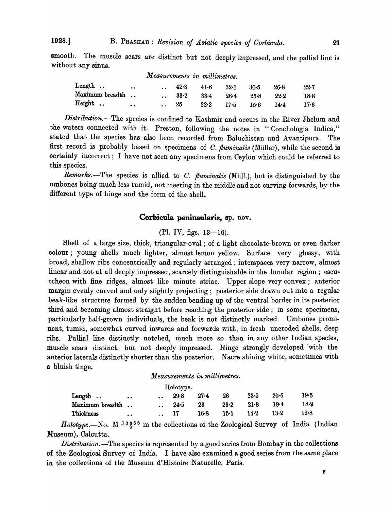smooth. The muscle scars are distinct but not deeply impressed, and the pallial line is without any sinus.

|                 |                     |      | Measurements in millimetres. |          |      |      |      |
|-----------------|---------------------|------|------------------------------|----------|------|------|------|
| Length          | $\bullet$ $\bullet$ | 42.3 | $41-6$                       | $32-1$   | 30.5 | 26.8 | 22.7 |
| Maximum breadth |                     | 33.2 | $33 - 4$                     | $26 - 4$ | 25.8 | 22.2 | 18.8 |
| Height          | $\bullet$ $\bullet$ | 25   | $22 - 2$                     | 17.5     | 15.6 | 14.4 | 17-6 |

*Distribution.*-The species is confined to Kashmir and occurs in the River Jhelum and the waters connected with it. Preston, following the notes in "Conchologia Indica," stated that the species has also been recorded from Baluchistan and Avantipura. The first record is probably based on specimens of C. fluminalis (Müller), while the second is certainly incorrect; I have not seen any specimens from Ceylon which could be referred to this species.

*Remarks.*-The species is allied to *C. fluminalis* (Müll.), but is distinguished by the umbones being much less tumid, not meeting in the middle and not curving forwards, by the different type of hinge and the form of the shell.

# Corbicula peninsularis, sp. nov.

## $(Pl. IV, figs. 13-16).$

Shell of a large size, thick, triangular-oval; of a light chocolate-brown or even darker colour; young shells much lighter, almost lemon yellow. Surface very glossy, with broad, shallow ribs concentrically and regularly arranged; interspaces very narrow, almost linear and not at all deeply impressed, scarcely distinguishable in the lunular region; escutcheon with fine ridges, almost like minute striae. Upper slope very convex; anterior margin evenly curved and only slightly projecting; posterior side drawn out into a regular beak-like structure formed by the sudden bending up of the ventral border in its posterior third and becoming almost straight before reaching the posterior side; in some specimens, particularly half-grown individuals, the beak is not' distinctly marked. Umbones prominent, tumid, somewhat curved inwards and forwards with, in fresh uneroded shells, deep ribs. Pallial line distinctly notched, much more so than in any other Indian species, muscle scars distinct, but not deeply impressed. Hinge strongly developed 'with the anterior laterals distinctly shorter than the posterior. Nacre shining white, sometimes with a bluish tinge.

## *Measurements in millimetres.*

|                 |           |                      | Holotype. |          |          |          |        |        |
|-----------------|-----------|----------------------|-----------|----------|----------|----------|--------|--------|
| Length          | $\bullet$ | $\ddot{\phantom{1}}$ | $29 - 8$  | $27 - 4$ | 26       | $23 - 5$ | $20-6$ | 19•5   |
| Maximum breadth |           | $\ddot{\phantom{a}}$ | 24.5      | 23       | $23 - 2$ | $21 - 8$ | 19•4   | $18-9$ |
| Thickness       | . .       | $\bullet$            |           | 16.8     | 15-1     | 14.2     | $13-2$ | 12.8   |

*Holotype.*—No. M  $^{12\frac{3}{2}\cdot3\cdot3}$  in the collections of the Zoological Survey of India (Indian Museum), Calcutta.

*Distribution.*—The species is represented by a good series from Bombay in the collections of the Zoological Survey of India\_ I have also examined a good series from the same place in the collections of the Museum d'Histoire Naturelle, Paris.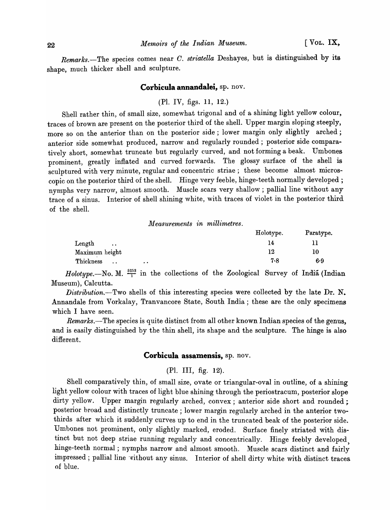*Remarks.-The* species comes near *C. striatella* Deshayes, but is distinguished by its shape, much thicker shell and sculpture.

#### **Corbicula annandalei,** sp. nov.

# (PI. IV, figs. II, 12.)

Shell rather thin, of small size, somewhat trigonal and of a shining light yellow colour, traces of brown are present on the posterior third of the shell. Upper margin sloping steeply, more so on the anterior than on the posterior side; lower margin only slightly arched; anterior side somewhat produced, narrow and regularly rounded; posterior side comparatively short, somewhat truncate but regularly curved, and not forming a beak. Umbones prominent, greatly inflated and curved forwards. The glossy surface of the shell is sculptured with very minute, regular and concentric striae; these become almost microscopic on the posterior third of the shell. Hinge very feeble, hinge-teeth normally developed; nymphs very narrow, almost smooth. Muscle scars very shallow; pallial line without any trace of a sinus. Interior of shell shining white, with traces of violet in the posterior third of the shell.

 $Measurements$  *in millimetres.* 

|                                                | Holotype. | Paratype. |
|------------------------------------------------|-----------|-----------|
| Length<br>$\ddot{\phantom{0}}$                 | 14        |           |
| Maximum height                                 | 12        | 10        |
| Thickness<br>$\ddot{\phantom{a}}$<br>$\bullet$ | 7.8       | 6.9       |

*Holotype.*—No. M.  $\frac{5253}{1}$  in the collections of the Zoological Survey of India (Indian Museum), Calcutta.

*Distribution.*-Two shells of this interesting species were collected by the late Dr. N. Annandale from Vorkalay, Tranvancore State, South India; these are the only specimens: which I have seen.

*Remarks.*—The species is quite distinct from all other known Indian species of the genus, and is easily distinguished by the thin shell, its shape and the sculpture. The hinge is also different.

# **Corbicula assamensis,** sp. nov.

# (PI. III, fig. 12).

Shell comparatively thin, of small size, ovate or triangular-oval in outline, of a shining light yellow colour with traces of light blue shining through the periostracum, posterior slope dirty yellow. Upper margin regularly arched, convex; anterior side short and rounded; posterior broad and distinctly truncate; lower margin regularly arched in the anterior twothirds after which it suddenly curves up to end in the truncated beak of the posterior side. Umbones not prominent, only slightly marked, eroded. Surface finely striated with distinct but not deep striae running regularly and concentrically. Hinge feebly developed hinge-teeth normal; nymphs narrow and almost smooth. Muscle scars distinct and fairly impressed; pallial line without any sinus. Interior of shell dirty white with distinct traces of blue.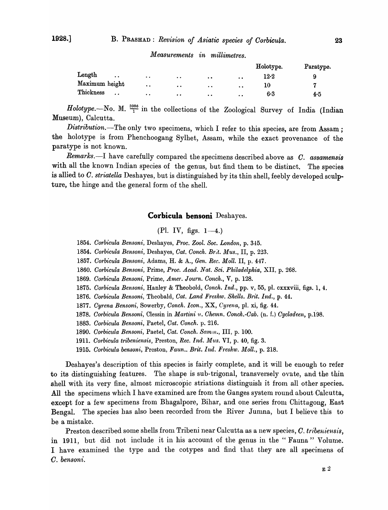|                              |                  |                                              |           |                      | Holotype.            | Paratype. |
|------------------------------|------------------|----------------------------------------------|-----------|----------------------|----------------------|-----------|
| Length<br>$\cdot$ .          | . .              | $\bullet\hspace{0.4mm}\bullet\hspace{0.4mm}$ | $\bullet$ | $\ddot{\phantom{a}}$ | $12\mathord{\cdot}2$ | 9         |
| Maximum height               | $\ddot{\bullet}$ | $\bullet$                                    | $\bullet$ | $\bullet$            | 10                   |           |
| Thickness<br>$\cdot$ $\cdot$ | . .              | $\bullet$                                    | $\bullet$ | . .                  | 6.3                  | 4.5       |

## *Measurements in millimetres.*

Holotype.-No. M.  $\frac{3986}{1}$  in the collections of the Zoological Survey of India (Indian Museum), Calcutta.

*Distribution.*—The only two specimens, which I refer to this species, are from Assam; the holotype is from Phenchoogang Sylhet, Assam, while the exact provenance of the paratype is not known.

*Remarks.-I* have carefully compared the specimens described above as *O. assamensis*  with all the known Indian species of the genus, but find them to be distinct. The species is allied to *O. striatella* Deshayes, but is distinguished by its thin shell, feebly developed sculpture, the hinge and the general form of the shell.

## **Corbicula bensoni** Deshayes.

(Pl. IV, figs.  $1-4$ .)

*1854. Oorbicula Bensoni,* Deshayes, *Proc. Zool. Soc. London,* p. 345.

- *1854. Oorbicula Bensoni,* Deshayes, *Oat. Oonch. Br:t. Mus.,* II, p. 223.
- *1857. Oorbicula Bensoni,* Adams, H. & A., *Gen. Ree. Moll.* II, p. 447.
- *1860. Oorbicula Bensoni,* Prime, *Proc. Acad. Nat. Sci. Philadelphia,* XII, p. 268.
- 1869. Corbicula Bensoni, Prime, *Amer. Journ. Conch.*, V, p. 128.
- *1875. Oorbicula Bensoni,* Hanley & Theobold, *Oonch. Ind.,* pp. v, 55, pi. cxxxviii, figs. 1, 4.
- *1876. Oorbicula Bensoni,* Theobald, *Oat. Land Freshw. Shells. Brit. Ind.,* p. 44.
- *1877. Oyrena Bensoni,* Sowerby, *Oonch. Icon.,* XX, *Cyrena,* pI. xi, fig. 44.
- *1878. Oorbicula Bensoni,* Clessin in *Mm·tini* ~(. *Ohemn. Oonch.-Oab.* (n. f.) *Oycladeen,* p.198.
- *1883. Oorbicula Bensoni,* Paetel, *Oat. Oonch.* p. 216.
- *1890. Oorbicula Bensoni,* Paetel, *Oat. Oonch. Samm.,* III, p. 100.
- 1911. *Oorbicula tribeniensis,* Preston, *Rec. Ind. Mus.* VI, p. 40, fig. 3.
- *1915. Oorbicula bensoni,* Preston, *Faun .. Brit. Ind. Fresllw. 1l1oll.,* p. 218.

Deshayes's description of this species is fairly complete, and it will be enough to refer to its distinguishing features. The shape is sub-trigonal, transversely ovate, and the thin shell with its very fine, almost microscopic striations distinguish it from all other species. All the specimens which I have examined are from the Ganges system round about Calcutta, except for a few specimens from Bhagalpore, Bihar, and one series from Chittagong, East Bengal. The species has also been recorded from the River Jumna, but I believe this to be a mistake.

Preston described some shells from Tribeni near Calcutta as a new species, *C. tribeniensis*, in 1911, but did not include it in his account of the genus in the "Fauna" Volume. I have examined the type and the cotypes and find that they are all specimens of O. *bensoni.*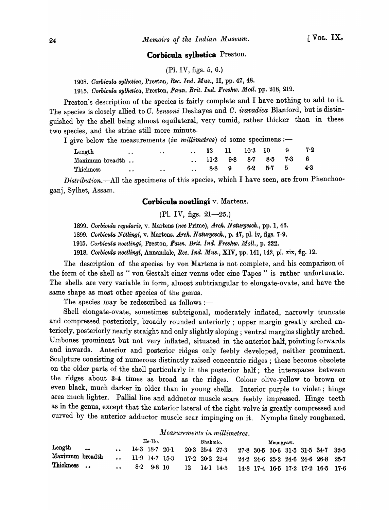#### **Corbicula sylhetica** Preston.

(PI. IV, figs. 5, 6.)

*1908. Corbicula sylhetica,* Preston, *Ree. Ind. Mus.,* II, pp. 47, 48.

*1915. Corbicula sylhetica,* Preston, *Faun. Brit. Ind. Freshw. Moll.* pp. 218, 219.

Preston's description of the species is fairly complete and I have nothing to add to it. The species is closely allied to *C. bensoni* Deshayes and *C. iravadica* Blanford, but is distinguished by the shell being almost equilateral, very tumid, rather thicker than in these two species, and the striae still more minute.

I give below the measurements *(in millimetres)* of some specimens :-

| Length          | $\bullet\bullet$ | $\cdot$ $\cdot$  |        | 11 10.3 10 |                 | - 9                       | 7.2 |
|-----------------|------------------|------------------|--------|------------|-----------------|---------------------------|-----|
| Maximum breadth |                  |                  | $11-2$ |            |                 | $9.8$ $8.7$ $8.5$ $7.3$ 6 |     |
| Thickness       | $\bullet$        | $\bullet\bullet$ | 8.8    | - 9        | $6-2$ $5-7$ $5$ |                           | 4.3 |

*Distribution.*--All the specimens of this species, which I have seen, are from Phenchooganj, Sylhet, Assam.

## **Corbicula noetlingi** v. Martens.

(Pl. IV, figs. 21-25.)

*1899. Corbicula regularis,* v. Martens *(nee* Prime), *Arch. Naturgesch.,* pp. 1, 46.

*1899. Corbicula Notlingi,* v. Martens. *Arch. Naturgesch.,* p. 47, pl. iv, figs. 7-9.

*1915. Corbicula noetlingi,* Preston, *Faun. Brit. Ind. Freshw. Moll.,* p\_ 222.

*1918. Oorbicula noetlingi,* Annandale, *Rec.Ind. Mus.,* XIV, pp. 141, 142, pI. xix, fig. 12.

The description of the species by von Martens is not complete, and his comparison of the form of the shell as " von Gestalt einer venus oder eine Tapes" is rather unfortunate. The shells are very variable in form, almost subtriangular to elongate-ovate, and have the same shape as most other species of the genus.

The species may be redescribed as follows :-

Shell elongate-ovate, sometimes subtrigonal, moderately inflated, narrowly truncate and compressed posteriorly, broadly rounded anteriorly; upper margin greatly arched anteriorly, posteriorly nearly straight and only slightly sloping; ventral margins slightly arched. Umbones prominent but not very inflated, situated in the anterior half, pointing forwards and inwards. Anterior and posterior ridges only feebly developed, neither prominent. Sculpture consisting of numerous distinctly raised concentric ridges; these become obsolete on the older parts of the shell particularly in the posterior half; the interspaces between the ridges about 3-4 times as broad as the ridges. Colour olive-yellow to brown or even black, much darker in older than in young shells. Interior purple to violet; hinge area much lighter. Pallial line and adductor muscle scars feebly impressed. Hinge teeth as in the genus, except that the anterior lateral of the right valve is greatly compressed and curved by the anterior adductor muscle scar impinging on it. Nymphs finely roughened.

#### *lYl easurements in millimetres.*

|                 |                         |                      | He-Ho.         |    | Bhakmio. |                           |                                                  | Meungyaw. |  |                                      |  |
|-----------------|-------------------------|----------------------|----------------|----|----------|---------------------------|--------------------------------------------------|-----------|--|--------------------------------------|--|
| Length          | $\bullet\bullet\bullet$ | 14.3 18.7 20.1       |                |    |          | $20-3$ $25-4$ $27-3$      |                                                  |           |  | $27.8$ 30.5 30.6 31.5 31.5 34.7 32.5 |  |
| Maximum breadth |                         | $11.9$ $14.7$ $15.3$ |                |    |          | $17.2 \t20.2 \t22.4$      | $24.2$ $24.6$ $23.2$ $24.6$ $24.6$ $26.8$ $25.7$ |           |  |                                      |  |
| Thickness       |                         |                      | $8.2$ $9.8$ 10 | 12 |          | $14 \cdot 1$ $14 \cdot 5$ |                                                  |           |  | 14.8 17.4 16.5 17.2 17.2 16.5 17.6   |  |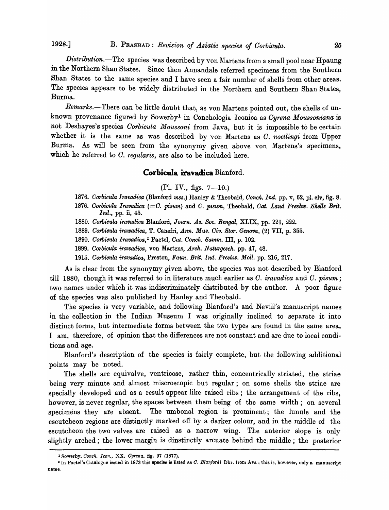1928.] B. PRASHAD: *Revision of Asiatic species of Oorbicula.* 25

*Distribution.-*The species was described by von Martens from a small pool near Hpaung in the Northern Shan States. Since then Annandale referred specimens from the Southern Shan States to the same species and I have seen a fair number of shells from other areas. The species appears to be widely distributed in the Northern and Southern Shan States, Burma.

*Remarks.*-There can be little doubt that, as von Martens pointed out, the shells of unknown provenance figured by Sowerbyl in Conchologia Iconica as *Oyrena Moussoniana* is not Deshayes's species *Oorbicula Moussoni* from Java, but it is impossible to be certain whether it is the same as was described by von Martens as *C. noetlingi* from Upper Burma. As will be seen from the synonymy given above von Martens's specimens, which he referred to C. *regularis*, are also to be included here.

## **Corbicula iravadica** Blanford.

 $(Pl. IV., figs. 7—10.)$ 

- *1876. Oorbicula Iravadica* (Blanford mss.) Hanley & Theobald, *Conch. Ind.* pp. v, 62, pI. clv, fig. 8.
- *1876. Corbicula Iravadica (=C. pisum)* and O. *pisum,* Theobald, *Oat. Land Freshw. Shells Brit. Ind.,* pp. ii, 45.
- *1880. Corbicula ira'Vadica* Blanford, J *ourn. As. Soc. Bengal,* XLIX, pp. 221, 222.
- *1889. Corbicula irawadica,* T. Canefri, *Ann. Mus. Oiv. Store Genova,* (2) VII, p. 355.

*1890. Oorbicula Iravadica,2* Paetel, *Oat. Oonch. Samm.* III, p. 102.

- *1899. Oorbicula irawadica,* von Martens, *Arch. N aturgesch.* pp. 47, 48.
- *1915. Oorbicula iravadica,* Preston, *Faun. Brit. Ind. Freshw. Moll.* pp. 216, 217.

As is clear from the synonymy given above, the species was not described by Blanford till 1880, though it was referred to in literature much earlier as O. *iravadica* and O. *pisum;*  two names under which it was indiscriminately distributed by the author. A poor figure of the species was also published by Hanley and Theobald.

The species is very variable, and following Blanford's and Nevill's manuscript names in the collection in the Indian Museum I was originally inclined to separate it into distinct forms, but intermediate forms between the two types are found in the same area. I am, therefore, of opinion that the differences are not constant and are due to local conditions and age.

Blanford's description of the species is fairly complete, but the following additional points may be noted.

The shells are equivalve, ventricose, rather thin, concentrically striated, the striae being very minute and almost miscroscopic but regular; on some shells the striae are specially developed and as a result appear like raised ribs; the arrangement of the ribs, however, is never regular, the spaces between them being of the same width; on several specimens they are absent. The umbonal region is prominent; the lunule and the escutcheon regions are distinctly marked off by a darker colour, and in the middle of the escutcheon the two valves are raised as a narrow wing. The anterior slope is only slightly arched; the lower margin is dinstinctly arcuate behind the middle; the posterior

<sup>1</sup> Sowerby, *C()'J'Wl,. Icon.,* XX, *Oyrena,* fig. 97 (1877).

<sup>&</sup>lt;sup>2</sup> In Paetel's Catalogue issued in 1873 this species is listed as *C. Blanfordi* Dkr. from Ava; this is, however, only a manuscript name.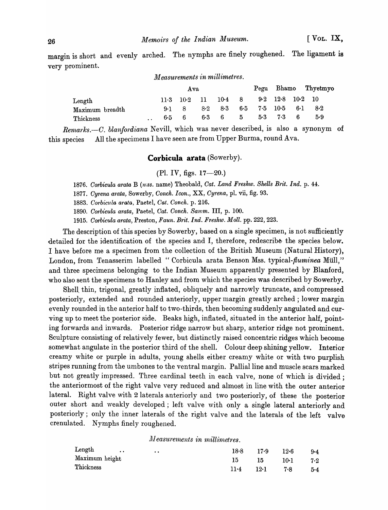margin is short and evenly arched. The nymphs are finely roughened. The ligament is very prominent.

#### *lJleasurements in millimetres.*

|                       |  | A va |                    |       |          |   |                    |                                      |     | Pegu Bhamo Thyetmyo |  |
|-----------------------|--|------|--------------------|-------|----------|---|--------------------|--------------------------------------|-----|---------------------|--|
| $\mathop{\rm Length}$ |  |      | $11.3 \t10.2 \t11$ |       | $10-4$ 8 |   |                    | $9.2 \quad 12.8 \quad 10.2 \quad 10$ |     |                     |  |
| Maximum breadth       |  | 9.1  |                    | $8-2$ | 8.3      |   | $6.5$ $7.5$ $10.5$ |                                      | 6·1 | 8.2                 |  |
| Thickness             |  | 6.5. | -6                 |       | $6-3$ 6  | 5 | $5-3$              | 7.3                                  | 6   | 5.9                 |  |

Remarks.-C. *blanfordiana* Nevill, which was never described, is also a synonym of this species All the specimens I have seen are from Upper Burma, round Ava.

## **Corbicula arata** (Sowerby).

 $(Pl. IV, figs. 17—20.)$ 

1876. Corbicula arata B (mss. name) Theobald, *Cat. Land Freshw. Shells Brit. Ind.* p. 44.

*1877. Cyrena* arata~ Sowerby, *Conch. Icon.,* XX, *Cyrena,* pI. vii, fig. 93.

*1883. Corbic'Ula arata,* Paetel, *Cat. Conch.* p. 216.

*1890. CO'rbicula arata,* Paetel, *Cat. Conch. Samm.* III, p. 100.

1915. Corbicula arata, Preston, *Faun. Brit. Ind. Freshw. Moll.* pp. 222, 223.

The description of this species by Sowerby, based on a single specimen, is not sufficiently detailed for the identification of the species and I, therefore, redescribe the species below. I have before me a specimen from the collection of the British Museum (Natural History), London, from Tenasserim labelled "Corbicula arata Benson Mss. typical-*fluminea* Müll," and three specimens belonging to the Indian Museum apparently presented by Blanford, who also sent the specimens to Hanley and from which the species was described by Sowerby.

Shell. thin, trigonal, greatly inflated, obliquely and narrowly truncate, and compressed posteriorly, extended and rounded anteriorly, upper margin greatly arched; lower margin evenly rounded in the anterior half to two-thirds, then hecoming suddenly angulated and curving up to meet the posterior side. Beaks high, inflated, situated in the anterior half, pointing forwards and inwards. Posterior ridge narrow but sharp, anterior ridge not prominent. Sculpture consisting of relatively fewer, but distinctly raised concentric ridges which become somewhat angulate in the posterior third of the shell. Colour deep shining yellow. Interior creamy white or purple in adults, young shells either creamy white or with two purplish stripes running from the umbones to the ventral margin. Pallial line and muscle scars marked but not greatly impressed. Three cardinal teeth in each valve, none of which is divided; the anteriormost of the right valve very reduced and ahnost in line with the outer anterior lateral. Right valve with 2 laterals anteriorly and two posteriorly, of these the posterior outer short and weakly developed; left valve with only a single lateral anteriorly and posteriorly; only the inner laterals of the right valve and the laterals of the left valve crenulated. Nymphs finely roughened.

## $Measurements$  *in millimetres.*

| Length<br>$\bullet$<br>$\cdot$ $\cdot$ | 18.8   | 17.9   | $12-6$ | $9 - 4$ |
|----------------------------------------|--------|--------|--------|---------|
| Maximum height                         | 15.    | - 15 - | 10·1   | 7.2     |
| Thickness                              | $11-4$ | $12-1$ | 7.8    | 5.4     |